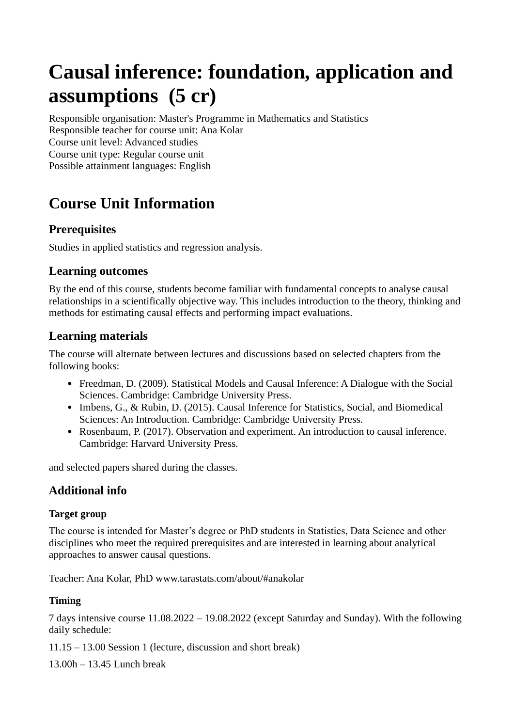# **Causal inference: foundation, application and assumptions (5 cr)**

Responsible organisation: Master's Programme in Mathematics and Statistics Responsible teacher for course unit: Ana Kolar Course unit level: Advanced studies Course unit type: Regular course unit Possible attainment languages: English

# **Course Unit Information**

## **Prerequisites**

Studies in applied statistics and regression analysis.

#### **Learning outcomes**

By the end of this course, students become familiar with fundamental concepts to analyse causal relationships in a scientifically objective way. This includes introduction to the theory, thinking and methods for estimating causal effects and performing impact evaluations.

## **Learning materials**

The course will alternate between lectures and discussions based on selected chapters from the following books:

- Freedman, D. (2009). Statistical Models and Causal Inference: A Dialogue with the Social Sciences. Cambridge: Cambridge University Press.
- Imbens, G., & Rubin, D. (2015). Causal Inference for Statistics, Social, and Biomedical Sciences: An Introduction. Cambridge: Cambridge University Press.
- Rosenbaum, P. (2017). Observation and experiment. An introduction to causal inference. Cambridge: Harvard University Press.

and selected papers shared during the classes.

# **Additional info**

#### **Target group**

The course is intended for Master's degree or PhD students in Statistics, Data Science and other disciplines who meet the required prerequisites and are interested in learning about analytical approaches to answer causal questions.

Teacher: Ana Kolar, PhD [www.tarastats.com/about/#anakolar](http://www.tarastats.com/about/#anakolar)

#### **Timing**

7 days intensive course 11.08.2022 – 19.08.2022 (except Saturday and Sunday). With the following daily schedule:

11.15 – 13.00 Session 1 (lecture, discussion and short break)

13.00h – 13.45 Lunch break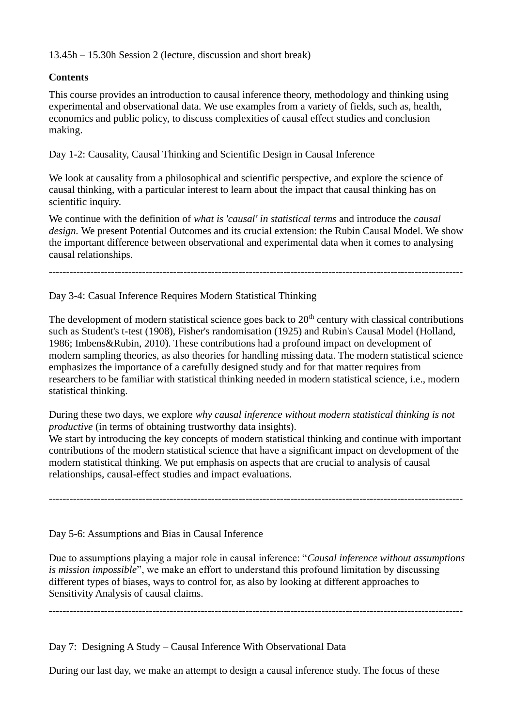13.45h – 15.30h Session 2 (lecture, discussion and short break)

#### **Contents**

This course provides an introduction to causal inference theory, methodology and thinking using experimental and observational data. We use examples from a variety of fields, such as, health, economics and public policy, to discuss complexities of causal effect studies and conclusion making.

Day 1-2: Causality, Causal Thinking and Scientific Design in Causal Inference

We look at causality from a philosophical and scientific perspective, and explore the science of causal thinking, with a particular interest to learn about the impact that causal thinking has on scientific inquiry.

We continue with the definition of *what is 'causal' in statistical terms* and introduce the *causal design.* We present Potential Outcomes and its crucial extension: the Rubin Causal Model. We show the important difference between observational and experimental data when it comes to analysing causal relationships.

------------------------------------------------------------------------------------------------------------------------

Day 3-4: Casual Inference Requires Modern Statistical Thinking

The development of modern statistical science goes back to  $20<sup>th</sup>$  century with classical contributions such as Student's t-test (1908), Fisher's randomisation (1925) and Rubin's Causal Model (Holland, 1986; Imbens&Rubin, 2010). These contributions had a profound impact on development of modern sampling theories, as also theories for handling missing data. The modern statistical science emphasizes the importance of a carefully designed study and for that matter requires from researchers to be familiar with statistical thinking needed in modern statistical science, i.e., modern statistical thinking.

During these two days, we explore *why causal inference without modern statistical thinking is not productive* (in terms of obtaining trustworthy data insights).

We start by introducing the key concepts of modern statistical thinking and continue with important contributions of the modern statistical science that have a significant impact on development of the modern statistical thinking. We put emphasis on aspects that are crucial to analysis of causal relationships, causal-effect studies and impact evaluations.

------------------------------------------------------------------------------------------------------------------------

Day 5-6: Assumptions and Bias in Causal Inference

Due to assumptions playing a major role in causal inference: "*Causal inference without assumptions is mission impossible*", we make an effort to understand this profound limitation by discussing different types of biases, ways to control for, as also by looking at different approaches to Sensitivity Analysis of causal claims.

**------------------------------------------------------------------------------------------------------------------------**

Day 7: Designing A Study – Causal Inference With Observational Data

During our last day, we make an attempt to design a causal inference study. The focus of these